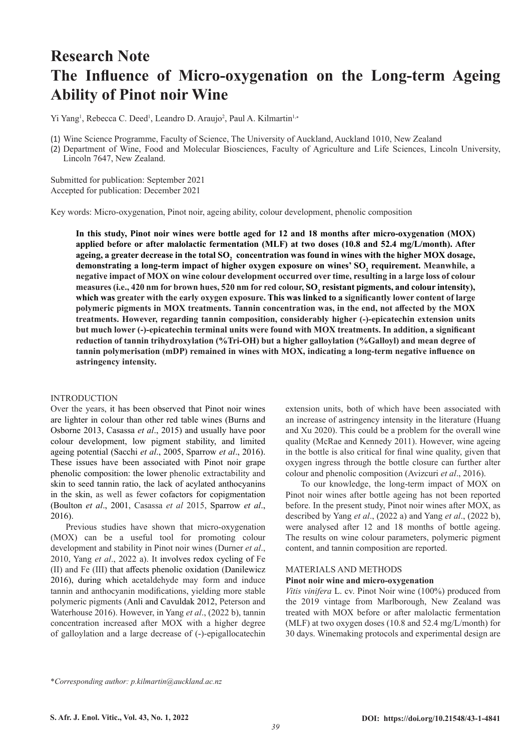# **Research Note The Influence of Micro-oxygenation on the Long-term Ageing Ability of Pinot noir Wine**

Yi Yang<sup>1</sup>, Rebecca C. Deed<sup>1</sup>, Leandro D. Araujo<sup>2</sup>, Paul A. Kilmartin<sup>1,\*</sup>

(1) Wine Science Programme, Faculty of Science, The University of Auckland, Auckland 1010, New Zealand

(2) Department of Wine, Food and Molecular Biosciences, Faculty of Agriculture and Life Sciences, Lincoln University, Lincoln 7647, New Zealand.

Submitted for publication: September 2021 Accepted for publication: December 2021

Key words: Micro-oxygenation, Pinot noir, ageing ability, colour development, phenolic composition

**In this study, Pinot noir wines were bottle aged for 12 and 18 months after micro-oxygenation (MOX) applied before or after malolactic fermentation (MLF) at two doses (10.8 and 52.4 mg/L/month). After**  ageing, a greater decrease in the total  ${\rm SO}_2^{}$  concentration was found in wines with the higher MOX dosage, demonstrating a long-term impact of higher oxygen exposure on wines' SO<sub>2</sub> requirement. Meanwhile, a **negative impact of MOX on wine colour development occurred over time, resulting in a large loss of colour**  measures (i.e., 420 nm for brown hues, 520 nm for red colour, SO<sub>2</sub> resistant pigments, and colour intensity), **which was greater with the early oxygen exposure. This was linked to a significantly lower content of large polymeric pigments in MOX treatments. Tannin concentration was, in the end, not affected by the MOX treatments. However, regarding tannin composition, considerably higher (-)-epicatechin extension units but much lower (-)-epicatechin terminal units were found with MOX treatments. In addition, a significant reduction of tannin trihydroxylation (%Tri-OH) but a higher galloylation (%Galloyl) and mean degree of tannin polymerisation (mDP) remained in wines with MOX, indicating a long-term negative influence on astringency intensity.** 

### INTRODUCTION

Over the years, it has been observed that Pinot noir wines are lighter in colour than other red table wines (Burns and Osborne 2013, Casassa *et al*., 2015) and usually have poor colour development, low pigment stability, and limited ageing potential (Sacchi *et al*., 2005, Sparrow *et al*., 2016). These issues have been associated with Pinot noir grape phenolic composition: the lower phenolic extractability and skin to seed tannin ratio, the lack of acylated anthocyanins in the skin, as well as fewer cofactors for copigmentation (Boulton *et al*., 2001, Casassa *et al* 2015, Sparrow *et al*., 2016).

Previous studies have shown that micro-oxygenation (MOX) can be a useful tool for promoting colour development and stability in Pinot noir wines (Durner *et al*., 2010, Yang *et al*., 2022 a). It involves redox cycling of Fe (II) and Fe (III) that affects phenolic oxidation (Danilewicz 2016), during which acetaldehyde may form and induce tannin and anthocyanin modifications, yielding more stable polymeric pigments (Anli and Cavuldak 2012, Peterson and Waterhouse 2016). However, in Yang *et al*., (2022 b), tannin concentration increased after MOX with a higher degree of galloylation and a large decrease of (-)-epigallocatechin

extension units, both of which have been associated with an increase of astringency intensity in the literature (Huang and Xu 2020). This could be a problem for the overall wine quality (McRae and Kennedy 2011). However, wine ageing in the bottle is also critical for final wine quality, given that oxygen ingress through the bottle closure can further alter colour and phenolic composition (Avizcuri *et al*., 2016).

To our knowledge, the long-term impact of MOX on Pinot noir wines after bottle ageing has not been reported before. In the present study, Pinot noir wines after MOX, as described by Yang *et al*., (2022 a) and Yang *et al*., (2022 b), were analysed after 12 and 18 months of bottle ageing. The results on wine colour parameters, polymeric pigment content, and tannin composition are reported.

## MATERIALS AND METHODS

#### **Pinot noir wine and micro-oxygenation**

*Vitis vinifera* L. cv. Pinot Noir wine (100%) produced from the 2019 vintage from Marlborough, New Zealand was treated with MOX before or after malolactic fermentation (MLF) at two oxygen doses (10.8 and 52.4 mg/L/month) for 30 days. Winemaking protocols and experimental design are

\**Corresponding author: p.kilmartin@auckland.ac.nz*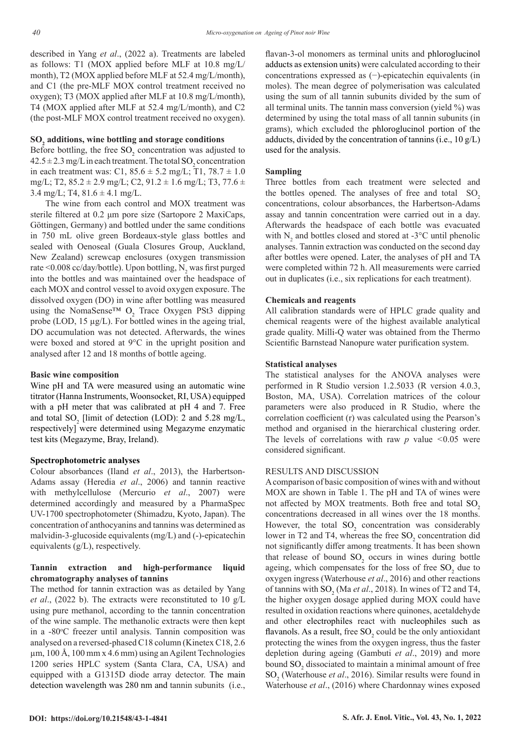described in Yang *et al*., (2022 a). Treatments are labeled as follows: T1 (MOX applied before MLF at 10.8 mg/L/ month), T2 (MOX applied before MLF at 52.4 mg/L/month), and C1 (the pre-MLF MOX control treatment received no oxygen); T3 (MOX applied after MLF at 10.8 mg/L/month), T4 (MOX applied after MLF at 52.4 mg/L/month), and C2 (the post-MLF MOX control treatment received no oxygen).

## **SO2 additions, wine bottling and storage conditions**

Before bottling, the free  $SO_2$  concentration was adjusted to  $42.5 \pm 2.3$  mg/L in each treatment. The total SO<sub>2</sub> concentration in each treatment was: C1,  $85.6 \pm 5.2$  mg/L; T1,  $78.7 \pm 1.0$ mg/L; T2,  $85.2 \pm 2.9$  mg/L; C2,  $91.2 \pm 1.6$  mg/L; T3,  $77.6 \pm$ 3.4 mg/L; T4,  $81.6 \pm 4.1$  mg/L.

The wine from each control and MOX treatment was sterile filtered at 0.2 μm pore size (Sartopore 2 MaxiCaps, Göttingen, Germany) and bottled under the same conditions in 750 mL olive green Bordeaux-style glass bottles and sealed with Oenoseal (Guala Closures Group, Auckland, New Zealand) screwcap enclosures (oxygen transmission rate <0.008 cc/day/bottle). Upon bottling,  $N_2$  was first purged into the bottles and was maintained over the headspace of each MOX and control vessel to avoid oxygen exposure. The dissolved oxygen (DO) in wine after bottling was measured using the NomaSense<sup>TM</sup> O<sub>2</sub> Trace Oxygen PSt3 dipping probe (LOD, 15 µg/L). For bottled wines in the ageing trial, DO accumulation was not detected. Afterwards, the wines were boxed and stored at 9°C in the upright position and analysed after 12 and 18 months of bottle ageing.

#### **Basic wine composition**

Wine pH and TA were measured using an automatic wine titrator (Hanna Instruments, Woonsocket, RI, USA) equipped with a pH meter that was calibrated at pH 4 and 7. Free and total  $SO_2$  [limit of detection (LOD): 2 and 5.28 mg/L, respectively] were determined using Megazyme enzymatic test kits (Megazyme, Bray, Ireland).

#### **Spectrophotometric analyses**

Colour absorbances (Iland *et al*., 2013), the Harbertson-Adams assay (Heredia *et al*., 2006) and tannin reactive with methylcellulose (Mercurio *et al*., 2007) were determined accordingly and measured by a PharmaSpec UV-1700 spectrophotometer (Shimadzu, Kyoto, Japan). The concentration of anthocyanins and tannins was determined as malvidin-3-glucoside equivalents (mg/L) and (-)-epicatechin equivalents (g/L), respectively.

## **Tannin extraction and high-performance liquid chromatography analyses of tannins**

The method for tannin extraction was as detailed by Yang *et al*., (2022 b). The extracts were reconstituted to 10 g/L using pure methanol, according to the tannin concentration of the wine sample. The methanolic extracts were then kept in a -80°C freezer until analysis. Tannin composition was analysed on a reversed-phased C18 column (Kinetex C18, 2.6  $\mu$ m, 100 Å, 100 mm x 4.6 mm) using an Agilent Technologies 1200 series HPLC system (Santa Clara, CA, USA) and equipped with a G1315D diode array detector. The main detection wavelength was 280 nm and tannin subunits (i.e.,

flavan-3-ol monomers as terminal units and phloroglucinol adducts as extension units) were calculated according to their concentrations expressed as (−)-epicatechin equivalents (in moles). The mean degree of polymerisation was calculated using the sum of all tannin subunits divided by the sum of all terminal units. The tannin mass conversion (yield %) was determined by using the total mass of all tannin subunits (in grams), which excluded the phloroglucinol portion of the adducts, divided by the concentration of tannins (i.e.,  $10 \text{ g/L}$ ) used for the analysis.

## **Sampling**

Three bottles from each treatment were selected and the bottles opened. The analyses of free and total  $SO<sub>2</sub>$ concentrations, colour absorbances, the Harbertson-Adams assay and tannin concentration were carried out in a day. Afterwards the headspace of each bottle was evacuated with  $N_2$  and bottles closed and stored at -3 $\degree$ C until phenolic analyses. Tannin extraction was conducted on the second day after bottles were opened. Later, the analyses of pH and TA were completed within 72 h. All measurements were carried out in duplicates (i.e., six replications for each treatment).

### **Chemicals and reagents**

All calibration standards were of HPLC grade quality and chemical reagents were of the highest available analytical grade quality. Milli-Q water was obtained from the Thermo Scientific Barnstead Nanopure water purification system.

### **Statistical analyses**

The statistical analyses for the ANOVA analyses were performed in R Studio version 1.2.5033 (R version 4.0.3, Boston, MA, USA). Correlation matrices of the colour parameters were also produced in R Studio, where the correlation coefficient (r) was calculated using the Pearson's method and organised in the hierarchical clustering order. The levels of correlations with raw *p* value *<*0.05 were considered significant.

### RESULTS AND DISCUSSION

A comparison of basic composition of wines with and without MOX are shown in Table 1. The pH and TA of wines were not affected by MOX treatments. Both free and total SO<sub>2</sub> concentrations decreased in all wines over the 18 months. However, the total  $SO_2$  concentration was considerably lower in T2 and T4, whereas the free  $SO_2$  concentration did not significantly differ among treatments. It has been shown that release of bound  $SO_2$  occurs in wines during bottle ageing, which compensates for the loss of free  $SO_2$  due to oxygen ingress (Waterhouse *et al*., 2016) and other reactions of tannins with  $SO_2$  (Ma *et al.*, 2018). In wines of T2 and T4, the higher oxygen dosage applied during MOX could have resulted in oxidation reactions where quinones, acetaldehyde and other electrophiles react with nucleophiles such as flavanols. As a result, free  ${SO_2}$  could be the only antioxidant protecting the wines from the oxygen ingress, thus the faster depletion during ageing (Gambuti *et al*., 2019) and more bound  ${SO_2}$  dissociated to maintain a minimal amount of free SO<sub>2</sub> (Waterhouse *et al.*, 2016). Similar results were found in Waterhouse *et al*., (2016) where Chardonnay wines exposed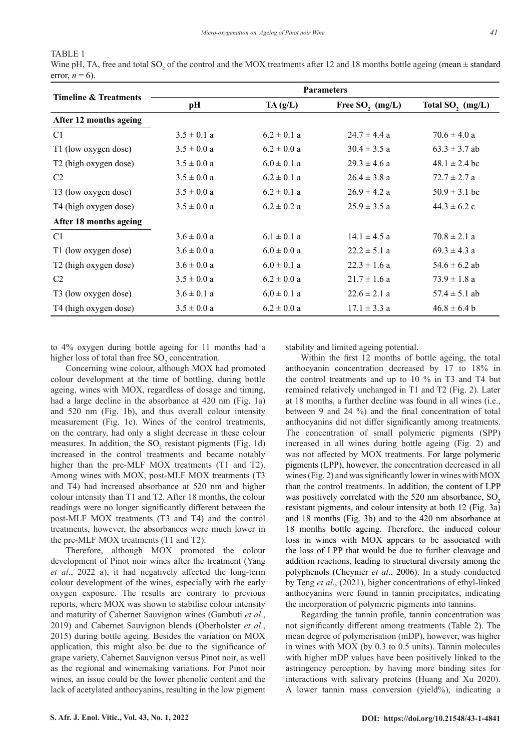## TABLE 1

Wine pH, TA, free and total SO<sub>2</sub> of the control and the MOX treatments after 12 and 18 months bottle ageing (mean  $\pm$  standard error,  $n = 6$ ).

| <b>Timeline &amp; Treatments</b>  |                 |                 | <b>Parameters</b> |                              |
|-----------------------------------|-----------------|-----------------|-------------------|------------------------------|
|                                   | pH              | TA(g/L)         | Free SO, $(mg/L)$ | Total SO <sub>2</sub> (mg/L) |
| After 12 months ageing            |                 |                 |                   |                              |
| C1                                | $3.5 \pm 0.1 a$ | $6.2 \pm 0.1$ a | $24.7 \pm 4.4$ a  | $70.6 \pm 4.0 a$             |
| T1 (low oxygen dose)              | $3.5 \pm 0.0 a$ | $6.2 \pm 0.0 a$ | $30.4 \pm 3.5 a$  | $63.3 \pm 3.7$ ab            |
| T2 (high oxygen dose)             | $3.5 \pm 0.0 a$ | $6.0 \pm 0.1$ a | $29.3 \pm 4.6$ a  | $48.1 \pm 2.4$ bc            |
| C <sub>2</sub>                    | $3.5 \pm 0.0 a$ | $6.2 \pm 0.1$ a | $26.4 \pm 3.8$ a  | $72.7 \pm 2.7$ a             |
| T3 (low oxygen dose)              | $3.5 \pm 0.0 a$ | $6.2 \pm 0.1$ a | $26.9 \pm 4.2 a$  | $50.9 \pm 3.1$ bc            |
| T4 (high oxygen dose)             | $3.5 \pm 0.0 a$ | $6.2 \pm 0.2$ a | $25.9 \pm 3.5 a$  | $44.3 \pm 6.2$ c             |
| After 18 months ageing            |                 |                 |                   |                              |
| C1                                | $3.6 \pm 0.0 a$ | $6.1 \pm 0.1$ a | $14.1 \pm 4.5$ a  | $70.8 \pm 2.1 a$             |
| T1 (low oxygen dose)              | $3.6 \pm 0.0 a$ | $6.0 \pm 0.0 a$ | $22.2 \pm 5.1$ a  | $69.3 \pm 4.3$ a             |
| T <sub>2</sub> (high oxygen dose) | $3.6 \pm 0.0 a$ | $6.0 \pm 0.1$ a | $22.3 \pm 1.6$ a  | $54.6 \pm 6.2$ ab            |
| C <sub>2</sub>                    | $3.5 \pm 0.0 a$ | $6.2 \pm 0.0 a$ | $21.7 \pm 1.6$ a  | $73.9 \pm 1.8$ a             |
| T3 (low oxygen dose)              | $3.6 \pm 0.1$ a | $6.0 \pm 0.1$ a | $22.6 \pm 2.1$ a  | $57.4 \pm 5.1$ ab            |
| T4 (high oxygen dose)             | $3.5 \pm 0.0 a$ | $6.2 \pm 0.0 a$ | $17.1 \pm 3.3$ a  | $46.8 \pm 6.4$ b             |

to 4% oxygen during bottle ageing for 11 months had a higher loss of total than free  $\mathrm{SO}_2$  concentration.

Concerning wine colour, although MOX had promoted colour development at the time of bottling, during bottle ageing, wines with MOX, regardless of dosage and timing, had a large decline in the absorbance at 420 nm (Fig. 1a) and 520 nm (Fig. 1b), and thus overall colour intensity measurement (Fig. 1c). Wines of the control treatments, on the contrary, had only a slight decrease in these colour measures. In addition, the  $SO_2$  resistant pigments (Fig. 1d) increased in the control treatments and became notably higher than the pre-MLF MOX treatments (T1 and T2). Among wines with MOX, post-MLF MOX treatments (T3 and T4) had increased absorbance at 520 nm and higher colour intensity than T1 and T2. After 18 months, the colour readings were no longer significantly different between the post-MLF MOX treatments (T3 and T4) and the control treatments, however, the absorbances were much lower in the pre-MLF MOX treatments (T1 and T2).

Therefore, although MOX promoted the colour development of Pinot noir wines after the treatment (Yang *et al*., 2022 a), it had negatively affected the long-term colour development of the wines, especially with the early oxygen exposure. The results are contrary to previous reports, where MOX was shown to stabilise colour intensity and maturity of Cabernet Sauvignon wines (Gambuti *et al*., 2019) and Cabernet Sauvignon blends (Oberholster *et al*., 2015) during bottle ageing. Besides the variation on MOX application, this might also be due to the significance of grape variety, Cabernet Sauvignon versus Pinot noir, as well as the regional and winemaking variations. For Pinot noir wines, an issue could be the lower phenolic content and the lack of acetylated anthocyanins, resulting in the low pigment

stability and limited ageing potential.

Within the first 12 months of bottle ageing, the total anthocyanin concentration decreased by 17 to 18% in the control treatments and up to 10 % in T3 and T4 but remained relatively unchanged in T1 and T2 (Fig. 2). Later at 18 months, a further decline was found in all wines (i.e., between 9 and 24 %) and the final concentration of total anthocyanins did not differ significantly among treatments. The concentration of small polymeric pigments (SPP) increased in all wines during bottle ageing (Fig. 2) and was not affected by MOX treatments. For large polymeric pigments (LPP), however, the concentration decreased in all wines (Fig. 2) and was significantly lower in wines with MOX than the control treatments. In addition, the content of LPP was positively correlated with the  $520 \text{ nm}$  absorbance,  $SO<sub>2</sub>$ resistant pigments, and colour intensity at both 12 (Fig. 3a) and 18 months (Fig. 3b) and to the 420 nm absorbance at 18 months bottle ageing. Therefore, the induced colour loss in wines with MOX appears to be associated with the loss of LPP that would be due to further cleavage and addition reactions, leading to structural diversity among the polyphenols (Cheynier *et al*., 2006). In a study conducted by Teng *et al*., (2021), higher concentrations of ethyl-linked anthocyanins were found in tannin precipitates, indicating the incorporation of polymeric pigments into tannins.

Regarding the tannin profile, tannin concentration was not significantly different among treatments (Table 2). The mean degree of polymerisation (mDP), however, was higher in wines with MOX (by 0.3 to 0.5 units). Tannin molecules with higher mDP values have been positively linked to the astringency perception, by having more binding sites for interactions with salivary proteins (Huang and Xu 2020). A lower tannin mass conversion (yield%), indicating a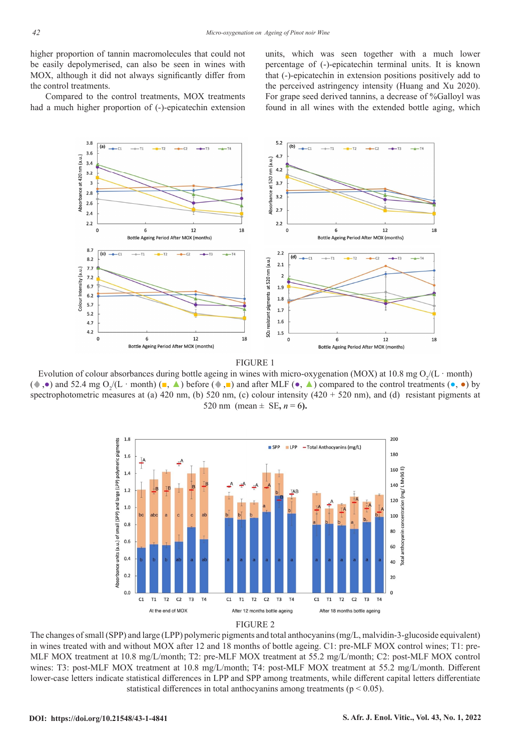higher proportion of tannin macromolecules that could not be easily depolymerised, can also be seen in wines with MOX, although it did not always significantly differ from the control treatments.

Compared to the control treatments, MOX treatments had a much higher proportion of (-)-epicatechin extension units, which was seen together with a much lower percentage of (-)-epicatechin terminal units. It is known that (-)-epicatechin in extension positions positively add to the perceived astringency intensity (Huang and Xu 2020). For grape seed derived tannins, a decrease of %Galloyl was found in all wines with the extended bottle aging, which





Evolution of colour absorbances during bottle ageing in wines with micro-oxygenation (MOX) at 10.8 mg  $O_2/(L \cdot$  month) ( •,•) and 52.4 mg O<sub>2</sub>/(L · month) (■, △) before (•,■) and after MLF (•, △) compared to the control treatments (•,•) by spectrophotometric measures at (a) 420 nm, (b) 520 nm, (c) colour intensity ( $420 + 520$  nm), and (d) resistant pigments at 520 nm (mean  $\pm$  SE,  $n = 6$ ).



The changes of small (SPP) and large (LPP) polymeric pigments and total anthocyanins (mg/L, malvidin-3-glucoside equivalent) in wines treated with and without MOX after 12 and 18 months of bottle ageing. C1: pre-MLF MOX control wines; T1: pre-MLF MOX treatment at 10.8 mg/L/month; T2: pre-MLF MOX treatment at 55.2 mg/L/month; C2: post-MLF MOX control wines: T3: post-MLF MOX treatment at 10.8 mg/L/month; T4: post-MLF MOX treatment at 55.2 mg/L/month. Different lower-case letters indicate statistical differences in LPP and SPP among treatments, while different capital letters differentiate statistical differences in total anthocyanins among treatments (p < 0.05).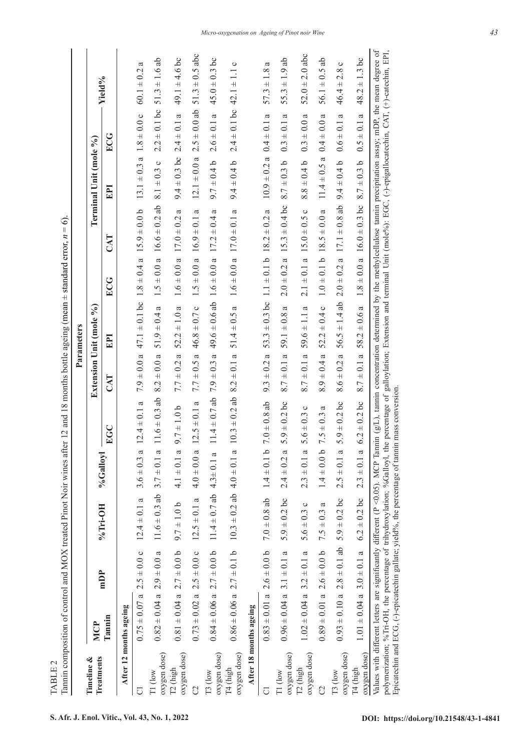Tannin composition of control and MOX treated Pinot Noir wines after 12 and 18 months bottle ageing (mean  $\pm$  standard error,  $n = 6$ ). Tannin composition of control and MOX treated Pinot Noir wines after 12 and 18 months bottle ageing (mean ± standard error, *n* = 6).

|                                      |                                   |                                    |                                                                                                  |                    |                                                    |                         | Parameters                                                                           |                                  |                                                                   |                                  |                                   |                                                                                                                                                                                                                                                                                                                                                                                                     |
|--------------------------------------|-----------------------------------|------------------------------------|--------------------------------------------------------------------------------------------------|--------------------|----------------------------------------------------|-------------------------|--------------------------------------------------------------------------------------|----------------------------------|-------------------------------------------------------------------|----------------------------------|-----------------------------------|-----------------------------------------------------------------------------------------------------------------------------------------------------------------------------------------------------------------------------------------------------------------------------------------------------------------------------------------------------------------------------------------------------|
| Treatments<br>Timeline &             | <b>MCP</b>                        | mDP                                |                                                                                                  |                    |                                                    | Extension Unit (mole %) |                                                                                      |                                  |                                                                   | Terminal Unit (mole %)           |                                   |                                                                                                                                                                                                                                                                                                                                                                                                     |
|                                      | lannin                            |                                    | %Tri-OH                                                                                          | %Galloyl           | EGC                                                | CAT                     | EPI                                                                                  | ECG                              | CAT                                                               | <b>FPI</b>                       | ECG                               | Yield%                                                                                                                                                                                                                                                                                                                                                                                              |
|                                      | After 12 months ageing            |                                    |                                                                                                  |                    |                                                    |                         |                                                                                      |                                  |                                                                   |                                  |                                   |                                                                                                                                                                                                                                                                                                                                                                                                     |
| ō                                    | $0.75 \pm 0.07$ a $2.5 \pm 0.0$ c |                                    | $12.4 \pm 0.1$ a                                                                                 | ß<br>$3.6 \pm 0.3$ | $12.4 \pm 0.1$ a                                   |                         | $7.9 \pm 0.0$ a $47.1 \pm 0.1$ bc $1.8 \pm 0.4$ a $15.9 \pm 0.0$ b                   |                                  |                                                                   | $13.1 \pm 0.3$ a $1.8 \pm 0.0$ c |                                   | $\epsilon$<br>$60.1 \pm 0.2$                                                                                                                                                                                                                                                                                                                                                                        |
| oxygen dose)<br>$T1$ (low            | $0.82 \pm 0.04$ a $2.9 \pm 0.0$ a |                                    | $11.6 \pm 0.3$ ab                                                                                | $3.7 \pm 0.1$ a    | $11.6 \pm 0.3$ ab                                  |                         | $8.2 \pm 0.0$ a 51.9 $\pm$ 0.4 a                                                     |                                  | $1.5 \pm 0.0$ a $16.6 \pm 0.2$ ab                                 |                                  |                                   | $8.1 \pm 0.3$ c $2.2 \pm 0.1$ bc $51.3 \pm 1.6$ ab                                                                                                                                                                                                                                                                                                                                                  |
| oxygen dose)<br>T <sub>2</sub> (high |                                   | $0.81 \pm 0.04$ a $2.7 \pm 0.0$ b  | $9.7 \pm 1.0$ b                                                                                  | $4.1 \pm 0.1$ a    | $9.7 \pm 1.0$ b                                    |                         | $7.7 \pm 0.2$ a $52.2 \pm 1.0$ a                                                     | $1.6 \pm 0.0$ a $17.0 \pm 0.2$ a |                                                                   |                                  |                                   | $9.4 \pm 0.3$ bc $2.4 \pm 0.1$ a $49.1 \pm 4.6$ bc                                                                                                                                                                                                                                                                                                                                                  |
| S                                    | $0.73 \pm 0.02$ a $2.5 \pm 0.0$ c |                                    | $12.5 \pm 0.1 a$                                                                                 | $4.0 \pm 0.0 a$    | $12.5 \pm 0.1$ a                                   |                         | $7.7 \pm 0.5$ a $46.8 \pm 0.7$ c                                                     | $1.5 \pm 0.0$ a $16.9 \pm 0.1$ a |                                                                   |                                  |                                   | $12.1 \pm 0.0$ a $2.5 \pm 0.0$ ab $51.3 \pm 0.5$ abc                                                                                                                                                                                                                                                                                                                                                |
| oxygen dose)<br>T3 (low              |                                   | $0.84 \pm 0.06$ a $2.7 \pm 0.0$ b  | $11.4 \pm 0.7$ ab $4.3 \pm 0.1$ a                                                                |                    |                                                    |                         | $11.4 \pm 0.7$ ab $7.9 \pm 0.3$ a $49.6 \pm 0.6$ ab $1.6 \pm 0.0$ a $17.2 \pm 0.4$ a |                                  |                                                                   |                                  |                                   | $9.7 \pm 0.4$ b $2.6 \pm 0.1$ a $45.0 \pm 0.3$ bc                                                                                                                                                                                                                                                                                                                                                   |
| oxygen dose)<br>T <sub>4</sub> (high | $0.86 \pm 0.06$ a $2.7 \pm 0.1$ b |                                    | $10.3 \pm 0.2$ ab $4.0 \pm 0.1$ a                                                                |                    | $10.3 \pm 0.2$ ab $8.2 \pm 0.1$ a $51.4 \pm 0.5$ a |                         |                                                                                      | $1.6 \pm 0.0$ a $17.0 \pm 0.1$ a |                                                                   | $9.4 \pm 0.4 b$                  | $2.4 \pm 0.1$ bc $42.1 \pm 1.1$ c |                                                                                                                                                                                                                                                                                                                                                                                                     |
|                                      | After 18 months ageing            |                                    |                                                                                                  |                    |                                                    |                         |                                                                                      |                                  |                                                                   |                                  |                                   |                                                                                                                                                                                                                                                                                                                                                                                                     |
| ರ                                    |                                   |                                    | $0.83 \pm 0.01$ a $2.6 \pm 0.0$ b $7.0 \pm 0.8$ ab $1.4 \pm 0.1$ b                               |                    | $7.0\pm0.8$ ab                                     |                         | $9.3 \pm 0.2$ a $53.3 \pm 0.3$ bc $1.1 \pm 0.1$ b $18.2 \pm 0.2$ a                   |                                  |                                                                   | $10.9 \pm 0.2$ a $0.4 \pm 0.1$ a |                                   | $\mathfrak{a}$<br>$57.3 \pm 1.8$                                                                                                                                                                                                                                                                                                                                                                    |
| oxygen dose)<br>T1 (low              | $0.96 \pm 0.04$ a $3.1 \pm 0.1$ a |                                    | $5.9 \pm 0.2$ bc                                                                                 | $2.4 \pm 0.2$ a    | $5.9 \pm 0.2$ bc                                   |                         | $8.7 \pm 0.1$ a 59.1 $\pm 0.8$ a                                                     |                                  | $2.0 \pm 0.2$ a $15.3 \pm 0.4$ bc $8.7 \pm 0.3$ b $0.3 \pm 0.1$ a |                                  |                                   | $55.3 \pm 1.9$ ab                                                                                                                                                                                                                                                                                                                                                                                   |
| oxygen dose)<br>T <sub>2</sub> (high | $1.02 \pm 0.04$ a $3.2 \pm 0.1$ a |                                    | $\circ$<br>$5.6 \pm 0.3$                                                                         | $2.3 \pm 0.1$ a    | $\circ$<br>$5.6 \pm 0.3$                           |                         | $8.7 \pm 0.1$ a 59.6 $\pm$ 1.1 a                                                     | $2.1 \pm 0.1$ a $15.0 \pm 0.5$ c |                                                                   | $8.8 \pm 0.4$ b                  | $0.3 \pm 0.0 a$                   | $52.0 \pm 2.0$ abc                                                                                                                                                                                                                                                                                                                                                                                  |
| C                                    |                                   | $0.89 \pm 0.01$ a $2.6 \pm 0.0$ b  | a<br>$7.5 \pm 0.3$                                                                               | $1.4 \pm 0.0 b$    | a<br>$7.5 \pm 0.3$                                 | $8.9 \pm 0.4$ a         | $52.2 \pm 0.4 c$                                                                     | $1.0 \pm 0.1$ b $18.5 \pm 0.0$ a |                                                                   | $11.4 \pm 0.5 a$                 | $0.4 \pm 0.0$ a                   | $56.1 \pm 0.5$ ab                                                                                                                                                                                                                                                                                                                                                                                   |
| oxygen dose)<br>T3 (low              |                                   | $0.93 \pm 0.10$ a $2.8 \pm 0.1$ ab | $5.9\pm0.2$ bc                                                                                   | $2.5 \pm 0.1$ a    | $5.9 \pm 0.2$ bc                                   |                         | $8.6 \pm 0.2$ a $56.5 \pm 1.4$ ab                                                    |                                  | $2.0 \pm 0.2$ a $17.1 \pm 0.8$ ab                                 | $9.4 \pm 0.4$ b                  | $0.6 \pm 0.1$ a                   | $\circ$<br>$46.4 \pm 2.8$                                                                                                                                                                                                                                                                                                                                                                           |
| oxygen dose)<br>T4 (high             | $1.01 \pm 0.04$ a $3.0 \pm 0.1$ a |                                    | $6.2\pm0.2$ bc                                                                                   | $2.3 \pm 0.1$ a    | $6.2 \pm 0.2$ bc                                   | $8.7 \pm 0.1 a$         | $58.2 \pm 0.6 a$                                                                     |                                  | $1.8 \pm 0.0$ a $16.0 \pm 0.3$ bc                                 | $8.7 \pm 0.3$ b                  | $0.5 \pm 0.1$ a                   | $48.2 \pm 1.3$ bc                                                                                                                                                                                                                                                                                                                                                                                   |
|                                      |                                   |                                    | Epicatechin and ECG, $(-)$ -epicatechin gallate; yield%, the percentage of tamin mass conversion |                    |                                                    |                         |                                                                                      |                                  |                                                                   |                                  |                                   | Values with different letters are significantly different (P <0.05). MCP Tannin (g/L), tannin concentration determined by the methylcellulose tannin precipitation assay; mDP, the mean degree of<br>polymerization; %Tri-OH, the percentage of trihydroxylation; %Galloyl, the percentage of galloylation; Extension and terminal Unit (mole%); EGC, (-)-epigallocatechin, CAT, (+)-catechin, EPI, |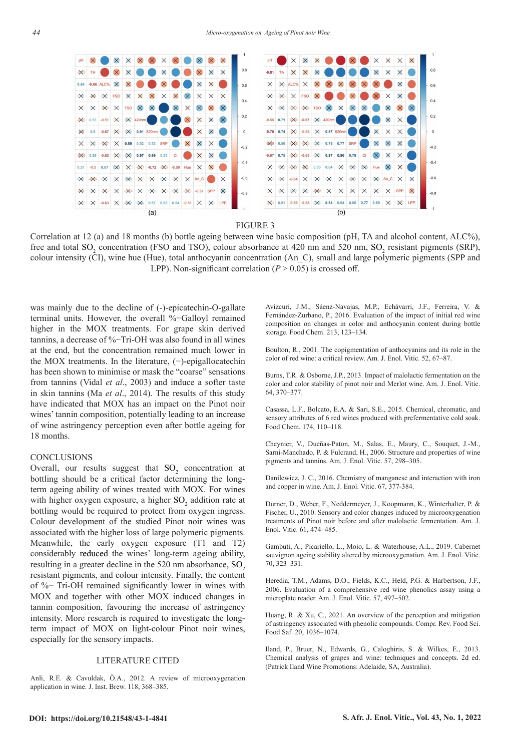

FIGURE 3

Correlation at 12 (a) and 18 months (b) bottle ageing between wine basic composition (pH, TA and alcohol content, ALC%), free and total  $SO_2$  concentration (FSO and TSO), colour absorbance at 420 nm and 520 nm,  $SO_2$  resistant pigments (SRP), colour intensity (CI), wine hue (Hue), total anthocyanin concentration (An\_C), small and large polymeric pigments (SPP and LPP). Non-significant correlation  $(P > 0.05)$  is crossed off.

was mainly due to the decline of (-)-epicatechin-O-gallate terminal units. However, the overall %−Galloyl remained higher in the MOX treatments. For grape skin derived tannins, a decrease of %−Tri-OH was also found in all wines at the end, but the concentration remained much lower in the MOX treatments. In the literature, (−)-epigallocatechin has been shown to minimise or mask the "coarse" sensations from tannins (Vidal *et al*., 2003) and induce a softer taste in skin tannins (Ma *et al*., 2014). The results of this study have indicated that MOX has an impact on the Pinot noir wines' tannin composition, potentially leading to an increase of wine astringency perception even after bottle ageing for 18 months.

## **CONCLUSIONS**

Overall, our results suggest that  $SO_2$  concentration at bottling should be a critical factor determining the longterm ageing ability of wines treated with MOX. For wines with higher oxygen exposure, a higher  ${SO_2}$  addition rate at bottling would be required to protect from oxygen ingress. Colour development of the studied Pinot noir wines was associated with the higher loss of large polymeric pigments. Meanwhile, the early oxygen exposure (T1 and T2) considerably reduced the wines' long-term ageing ability, resulting in a greater decline in the  $520$  nm absorbance,  $SO<sub>2</sub>$ resistant pigments, and colour intensity. Finally, the content of %− Tri-OH remained significantly lower in wines with MOX and together with other MOX induced changes in tannin composition, favouring the increase of astringency intensity. More research is required to investigate the longterm impact of MOX on light-colour Pinot noir wines, especially for the sensory impacts.

## LITERATURE CITED

Anli, R.E. & Cavuldak, Ö.A., 2012. A review of microoxygenation application in wine. J. Inst. Brew. 118, 368–385.

Avizcuri, J.M., Sáenz-Navajas, M.P., Echávarri, J.F., Ferreira, V. & Fernández-Zurbano, P., 2016. Evaluation of the impact of initial red wine composition on changes in color and anthocyanin content during bottle storage. Food Chem. 213, 123–134.

Boulton, R., 2001. The copigmentation of anthocyanins and its role in the color of red wine: a critical review. Am. J. Enol. Vitic. 52, 67–87.

Burns, T.R. & Osborne, J.P., 2013. Impact of malolactic fermentation on the color and color stability of pinot noir and Merlot wine. Am. J. Enol. Vitic. 64, 370–377.

Casassa, L.F., Bolcato, E.A. & Sari, S.E., 2015. Chemical, chromatic, and sensory attributes of 6 red wines produced with prefermentative cold soak. Food Chem. 174, 110–118.

Cheynier, V., Dueñas-Paton, M., Salas, E., Maury, C., Souquet, J.-M., Sarni-Manchado, P. & Fulcrand, H., 2006. Structure and properties of wine pigments and tannins. Am. J. Enol. Vitic. 57, 298–305.

Danilewicz, J. C., 2016. Chemistry of manganese and interaction with iron and copper in wine. Am. J. Enol. Vitic. 67, 377-384.

Durner, D., Weber, F., Neddermeyer, J., Koopmann, K., Winterhalter, P. & Fischer, U., 2010. Sensory and color changes induced by microoxygenation treatments of Pinot noir before and after malolactic fermentation. Am. J. Enol. Vitic. 61, 474–485.

Gambuti, A., Picariello, L., Moio, L. & Waterhouse, A.L., 2019. Cabernet sauvignon ageing stability altered by microoxygenation. Am. J. Enol. Vitic. 70, 323–331.

Heredia, T.M., Adams, D.O., Fields, K.C., Held, P.G. & Harbertson, J.F., 2006. Evaluation of a comprehensive red wine phenolics assay using a microplate reader. Am. J. Enol. Vitic. 57, 497–502.

Huang, R. & Xu, C., 2021. An overview of the perception and mitigation of astringency associated with phenolic compounds. Compr. Rev. Food Sci. Food Saf. 20, 1036–1074.

Iland, P., Bruer, N., Edwards, G., Caloghiris, S. & Wilkes, E., 2013. Chemical analysis of grapes and wine: techniques and concepts. 2d ed. (Patrick Iland Wine Promotions: Adelaide, SA, Australia).